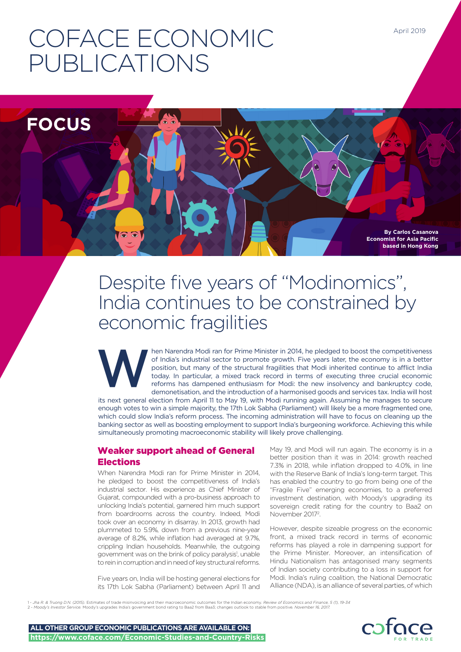# COFACE ECONOMIC PUBLICATIONS



# Despite five years of "Modinomics", India continues to be constrained by economic fragilities

hen Narendra Modi ran for Prime Minister in 2014, he pledged to boost the competitiveness of India's industrial sector to promote growth. Five years later, the economy is in a better position, but many of the structural fragilities that Modi inherited continue to afflict India today. In particular, a mixed track record in terms of executing three crucial economic reforms has dampened enthusiasm for Modi: the new insolvency and bankruptcy code, demonetisation, and the introduction of a harmonised goods and services tax. India will host its next general election from April 11 to May 19, with Modi running again. Assuming he manages to secure enough votes to win a simple majority, the 17th Lok Sabha (Parliament) will likely be a more fragmented one, W

which could slow India's reform process. The incoming administration will have to focus on cleaning up the banking sector as well as boosting employment to support India's burgeoning workforce. Achieving this while simultaneously promoting macroeconomic stability will likely prove challenging.

### Weaker support ahead of General Elections

When Narendra Modi ran for Prime Minister in 2014, he pledged to boost the competitiveness of India's industrial sector. His experience as Chief Minister of Gujarat, compounded with a pro-business approach to unlocking India's potential, garnered him much support from boardrooms across the country. Indeed, Modi took over an economy in disarray. In 2013, growth had plummeted to 5.9%, down from a previous nine-year average of 8.2%, while inflation had averaged at 9.7%, crippling Indian households. Meanwhile, the outgoing government was on the brink of policy paralysis<sup>1</sup>, unable to rein in corruption and in need of key structural reforms.

Five years on, India will be hosting general elections for its 17th Lok Sabha (Parliament) between April 11 and

May 19, and Modi will run again. The economy is in a better position than it was in 2014: growth reached 7.3% in 2018, while inflation dropped to 4.0%, in line with the Reserve Bank of India's long-term target. This has enabled the country to go from being one of the "Fragile Five" emerging economies, to a preferred investment destination, with Moody's upgrading its sovereign credit rating for the country to Baa2 on November 20172 .

However, despite sizeable progress on the economic front, a mixed track record in terms of economic reforms has played a role in dampening support for the Prime Minister. Moreover, an intensification of Hindu Nationalism has antagonised many segments of Indian society contributing to a loss in support for Modi. India's ruling coalition, the National Democratic Alliance (NDA), is an alliance of several parties, of which

1 - *Jha R. & Truong D.N. (2015).* Estimates of trade misinvoicing and their macroeconomic outcomes for the Indian economy*. Review of Economics and Finance, 5 (1), 19-34*  2 - *Moody's Investor Service.* Moody's upgrades India's government bond rating to Baa2 from Baa3; changes outlook to stable from positive*. November 16, 2017.* 



April 2019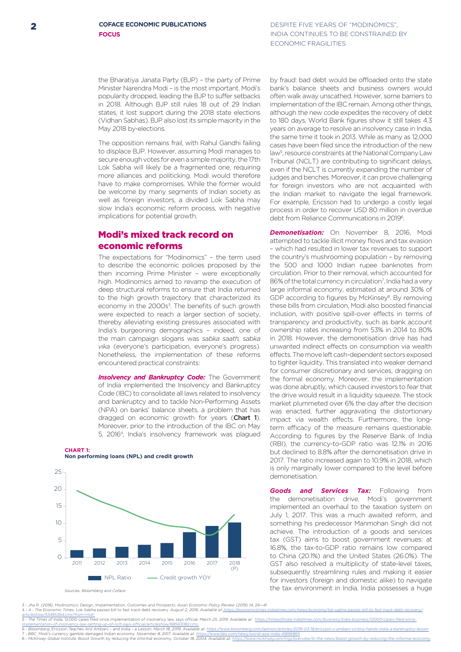DESPITE FIVE YEARS OF "MODINOMICS", INDIA CONTINUES TO BE CONSTRAINED BY ECONOMIC FRAGILITIES

the Bharatiya Janata Party (BJP) – the party of Prime Minister Narendra Modi – is the most important. Modi's popularity dropped, leading the BJP to suffer setbacks in 2018. Although BJP still rules 18 out of 29 Indian states, it lost support during the 2018 state elections (Vidhan Sabhas). BJP also lost its simple majority in the May 2018 by-elections.

The opposition remains frail, with Rahul Gandhi failing to displace BJP. However, assuming Modi manages to secure enough votes for even a simple majority, the 17th Lok Sabha will likely be a fragmented one, requiring more alliances and politicking. Modi would therefore have to make compromises. While the former would be welcome by many segments of Indian society as well as foreign investors, a divided Lok Sabha may slow India's economic reform process, with negative implications for potential growth.

#### Modi's mixed track record on economic reforms

The expectations for "Modinomics" – the term used to describe the economic policies proposed by the then incoming Prime Minister – were exceptionally high. Modinomics aimed to revamp the execution of deep structural reforms to ensure that India returned to the high growth trajectory that characterized its economy in the 2000s<sup>3</sup>. The benefits of such growth were expected to reach a larger section of society, thereby alleviating existing pressures associated with India's burgeoning demographics – indeed, one of the main campaign slogans was *sabka saath, sabka vika* (everyone's participation, everyone's progress). Nonetheless, the implementation of these reforms encountered practical constraints:

**Insolvency and Bankruptcy Code:** The Government of India implemented the Insolvency and Bankruptcy Code (IBC) to consolidate all laws related to insolvency and bankruptcy and to tackle Non-Performing Assets (NPA) on banks' balance sheets, a problem that has dragged on economic growth for years (Chart 1). Moreover, prior to the introduction of the IBC on May 5, 20164, India's insolvency framework was plagued

**CHART 1: Non performing loans (NPL) and credit growth** 



*Sources: Bloomberg and Coface*

25

by fraud: bad debt would be offloaded onto the state bank's balance sheets and business owners would often walk away unscathed. However, some barriers to implementation of the IBC remain. Among other things, although the new code expedites the recovery of debt to 180 days, World Bank figures show it still takes 4.3 years on average to resolve an insolvency case in India, the same time it took in 2013. While as many as 12,000 cases have been filed since the introduction of the new law<sup>5</sup>, resource constraints at the National Company Law Tribunal (NCLT) are contributing to significant delays, even if the NCLT is currently expanding the number of judges and benches. Moreover, it can prove challenging for foreign investors who are not acquainted with the Indian market to navigate the legal framework. For example, Ericsson had to undergo a costly legal process in order to recover USD 80 million in overdue

debt from Reliance Communications in 20196.

**Demonetisation:** On November 8, 2016, Modi attempted to tackle illicit money flows and tax evasion – which had resulted in lower tax revenues to support the country's mushrooming population – by removing the 500 and 1000 Indian rupee banknotes from circulation. Prior to their removal, which accounted for 86% of the total currency in circulation<sup>7</sup>, India had a very large informal economy, estimated at around 30% of GDP according to figures by McKinsey<sup>8</sup>. By removing these bills from circulation, Modi also boosted financial inclusion, with positive spill-over effects in terms of transparency and productivity, such as bank account ownership rates increasing from 53% in 2014 to 80% in 2018. However, the demonetisation drive has had unwanted indirect effects on consumption via wealth effects. The move left cash-dependent sectors exposed to tighter liquidity. This translated into weaker demand for consumer discretionary and services, dragging on the formal economy. Moreover, the implementation was done abruptly, which caused investors to fear that the drive would result in a liquidity squeeze. The stock market plummeted over 6% the day after the decision was enacted, further aggravating the distortionary impact via wealth effects. Furthermore, the longterm efficacy of the measure remains questionable. According to figures by the Reserve Bank of India (RBI), the currency-to-GDP ratio was 12.1% in 2016 but declined to 8.8% after the demonetisation drive in 2017. The ratio increased again to 10.9% in 2018, which is only marginally lower compared to the level before demonetisation.

*Goods and Services Tax:* Following from the demonetisation drive, Modi's government implemented an overhaul to the taxation system on July 1, 2017. This was a much awaited reform, and something his predecessor Manmohan Singh did not achieve. The introduction of a goods and services tax (GST) aims to boost government revenues: at 16.8%, the tax-to-GDP ratio remains low compared to China (20.1%) and the United States (26.0%). The GST also resolved a multiplicity of state-level taxes, subsequently streamlining rules and making it easier for investors (foreign and domestic alike) to navigate the tax environment in India. India possesses a huge

3 - Jha R. (2018). Modinomics: Design, Implementation, Outcomes and Prospects. Asian Economic Policy Review (2019) 14, 24—41<br>4 - 4 - The Economic Times. Lok Sabha passes bill to fast track debt recovery. August 2, 2016. Av <u>articleshow/53495364.cms?from=mdr\_</u><br>5 - The Times of India. 12,000 cases filed since implementation of insolvency law, says official. *March 25, 2019. Available at: https://timesofindia.indiatimes.com/business/india-busin* 

i<u>mplementation-of-insolvency-law-setting-up-of-nclt-says-official/articleshow/68563082.cms<br>6 - Bloomberg. Ericsson Teaches Anil Ambani – and India – a Lesson. March 18, 2019. Available at: <u>https://www.bloomberg.com/opini</u></u> 7 - BBC. Modi's currency gamble damaged Indian economy. *November 8, 2017. Available at: <u>https://www.bbc.com/news/world-asia-india-41896865</u><br>8 - McKinsey Global Institute. Boost Growth by reducing the informal economy. Oc*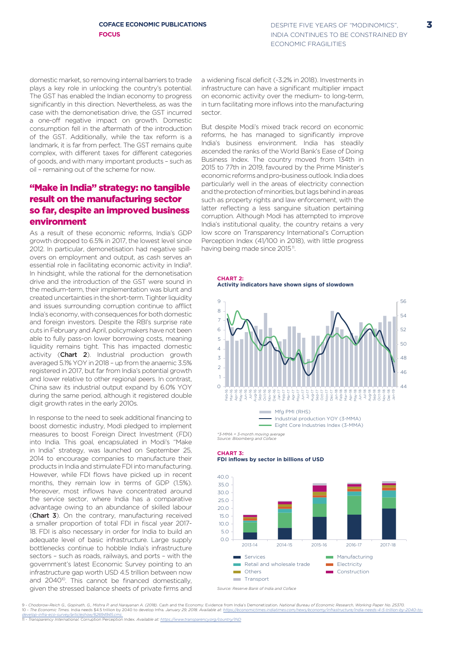domestic market, so removing internal barriers to trade plays a key role in unlocking the country's potential. The GST has enabled the Indian economy to progress significantly in this direction. Nevertheless, as was the case with the demonetisation drive, the GST incurred a one-off negative impact on growth. Domestic consumption fell in the aftermath of the introduction of the GST. Additionally, while the tax reform is a landmark, it is far from perfect. The GST remains quite complex, with different taxes for different categories of goods, and with many important products – such as oil – remaining out of the scheme for now.

#### "Make in India" strategy: no tangible result on the manufacturing sector so far, despite an improved business environment

As a result of these economic reforms, India's GDP growth dropped to 6.5% in 2017, the lowest level since 2012. In particular, demonetisation had negative spillovers on employment and output, as cash serves an essential role in facilitating economic activity in India9. In hindsight, while the rational for the demonetisation drive and the introduction of the GST were sound in the medium-term, their implementation was blunt and created uncertainties in the short-term. Tighter liquidity and issues surrounding corruption continue to afflict India's economy, with consequences for both domestic and foreign investors. Despite the RBI's surprise rate cuts in February and April, policymakers have not been able to fully pass-on lower borrowing costs, meaning liquidity remains tight. This has impacted domestic activity (Chart 2). Industrial production growth averaged 5.1% YOY in 2018 – up from the anaemic 3.5% registered in 2017, but far from India's potential growth and lower relative to other regional peers. In contrast, China saw its industrial output expand by 6.0% YOY during the same period, although it registered double digit growth rates in the early 2010s.

In response to the need to seek additional financing to boost domestic industry, Modi pledged to implement measures to boost Foreign Direct Investment (FDI) into India. This goal, encapsulated in Modi's "Make in India" strategy, was launched on September 25, 2014 to encourage companies to manufacture their products in India and stimulate FDI into manufacturing. However, while FDI flows have picked up in recent months, they remain low in terms of GDP (1.5%). Moreover, most inflows have concentrated around the service sector, where India has a comparative advantage owing to an abundance of skilled labour (Chart 3). On the contrary, manufacturing received a smaller proportion of total FDI in fiscal year 2017- 18. FDI is also necessary in order for India to build an adequate level of basic infrastructure. Large supply bottlenecks continue to hobble India's infrastructure sectors – such as roads, railways, and ports – with the government's latest Economic Survey pointing to an infrastructure gap worth USD 4.5 trillion between now and 2040<sup>10</sup>. This cannot be financed domestically, given the stressed balance sheets of private firms and

a widening fiscal deficit (-3.2% in 2018). Investments in infrastructure can have a significant multiplier impact on economic activity over the medium- to long-term, in turn facilitating more inflows into the manufacturing sector.

But despite Modi's mixed track record on economic reforms, he has managed to significantly improve India's business environment. India has steadily ascended the ranks of the World Bank's Ease of Doing Business Index. The country moved from 134th in 2015 to 77th in 2019, favoured by the Prime Minister's economic reforms and pro-business outlook. India does particularly well in the areas of electricity connection and the protection of minorities, but lags behind in areas such as property rights and law enforcement, with the latter reflecting a less sanguine situation pertaining corruption. Although Modi has attempted to improve India's institutional quality, the country retains a very low score on Transparency International's Corruption Perception Index (41/100 in 2018), with little progress having being made since 2015<sup>11</sup>.

**CHART 2: Activity indicators have shown signs of slowdown**



*Source: Bloomberg and Coface*

**CHART 3: FDI inflows by sector in billions of USD**



9 - Chodorow-Reich G., Gopinath, G., Mishra P. and Narayanan A. (2018). Cash and the Economy: Evidence from India's Demonetization. National Bureau of Economic Research, Working Paper No. 25370.<br>10 - The Economic Times. In